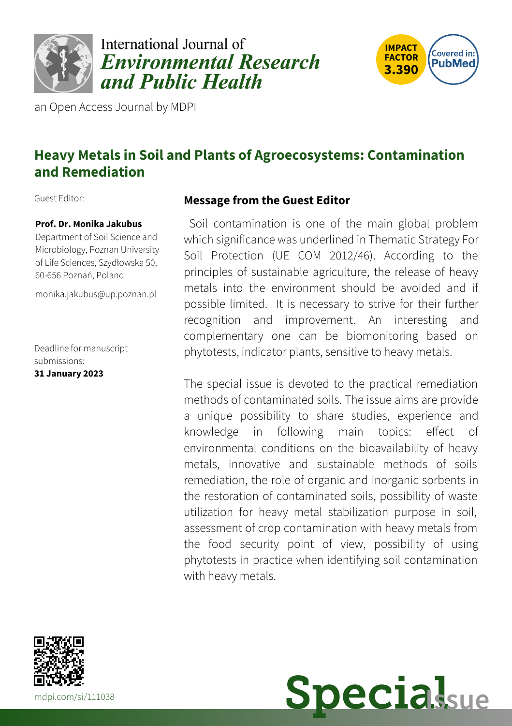

# International Journal of **Environmental Research** and Public Health



an Open Access Journal by MDPI

## **Heavy Metals in Soil and Plants of Agroecosystems: Contamination and Remediation**

Guest Editor:

#### **Prof. Dr. Monika Jakubus**

Department of Soil Science and Microbiology, Poznan University of Life Sciences, Szydłowska 50, 60-656 Poznań, Poland

[monika.jakubus@up.poznan.pl](mailto:monika.jakubus@up.poznan.pl)

Deadline for manuscript submissions: **31 January 2023**

#### **Message from the Guest Editor**

Soil contamination is one of the main global problem which significance was underlined in Thematic Strategy For Soil Protection (UE COM 2012/46). According to the principles of sustainable agriculture, the release of heavy metals into the environment should be avoided and if possible limited. It is necessary to strive for their further recognition and improvement. An interesting and complementary one can be biomonitoring based on phytotests, indicator plants, sensitive to heavy metals.

The special issue is devoted to the practical remediation methods of contaminated soils. The issue aims are provide a unique possibility to share studies, experience and knowledge in following main topics: effect of environmental conditions on the bioavailability of heavy metals, innovative and sustainable methods of soils remediation, the role of organic and inorganic sorbents in the restoration of contaminated soils, possibility of waste utilization for heavy metal stabilization purpose in soil, assessment of crop contamination with heavy metals from the food security point of view, possibility of using phytotests in practice when identifying soil contamination with heavy metals.



**Special**sue